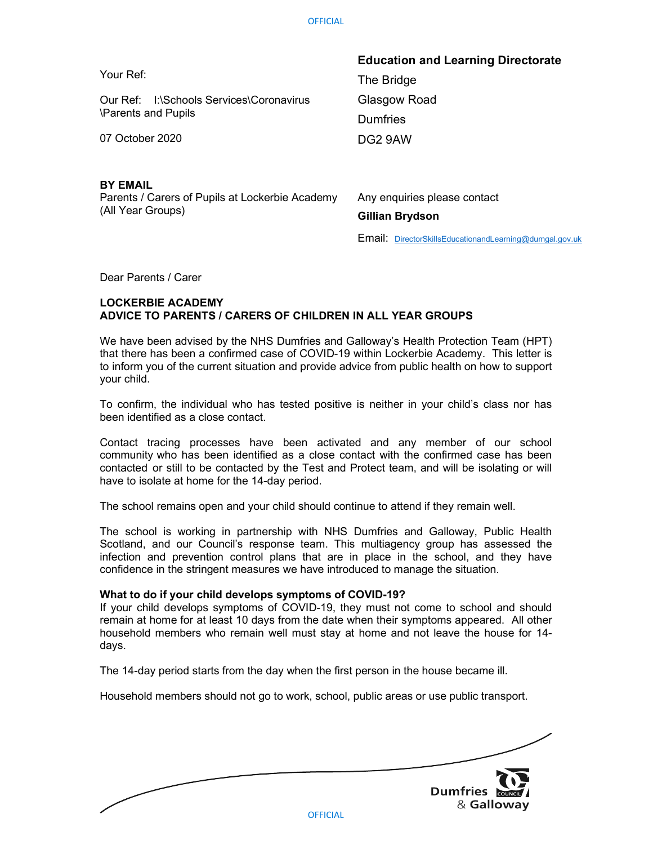|                                                                 | <b>Education and Learning Directorate</b> |
|-----------------------------------------------------------------|-------------------------------------------|
| Your Ref:                                                       | The Bridge                                |
| Our Ref: I:\Schools Services\Coronavirus<br>\Parents and Pupils | Glasgow Road                              |
|                                                                 | <b>Dumfries</b>                           |
| 07 October 2020                                                 | DG2 9AW                                   |
|                                                                 |                                           |
|                                                                 |                                           |

### BY EMAIL

Parents / Carers of Pupils at Lockerbie Academy (All Year Groups)

Any enquiries please contact Gillian Brydson

Email: DirectorSkillsEducationandLearning@dumgal.gov.uk

Dear Parents / Carer

# LOCKERBIE ACADEMY ADVICE TO PARENTS / CARERS OF CHILDREN IN ALL YEAR GROUPS

We have been advised by the NHS Dumfries and Galloway's Health Protection Team (HPT) that there has been a confirmed case of COVID-19 within Lockerbie Academy. This letter is to inform you of the current situation and provide advice from public health on how to support your child.

To confirm, the individual who has tested positive is neither in your child's class nor has been identified as a close contact.

Contact tracing processes have been activated and any member of our school community who has been identified as a close contact with the confirmed case has been contacted or still to be contacted by the Test and Protect team, and will be isolating or will have to isolate at home for the 14-day period.

The school remains open and your child should continue to attend if they remain well.

The school is working in partnership with NHS Dumfries and Galloway, Public Health Scotland, and our Council's response team. This multiagency group has assessed the infection and prevention control plans that are in place in the school, and they have confidence in the stringent measures we have introduced to manage the situation.

#### What to do if your child develops symptoms of COVID-19?

If your child develops symptoms of COVID-19, they must not come to school and should remain at home for at least 10 days from the date when their symptoms appeared. All other household members who remain well must stay at home and not leave the house for 14 days.

The 14-day period starts from the day when the first person in the house became ill.

Household members should not go to work, school, public areas or use public transport.